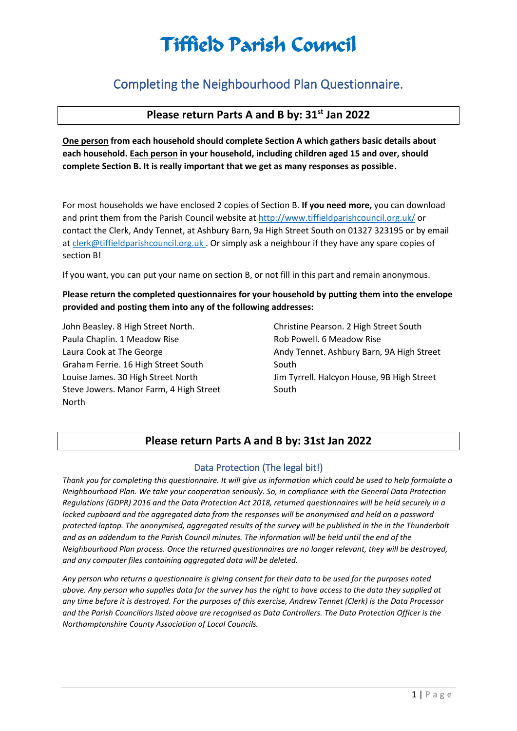### Completing the Neighbourhood Plan Questionnaire.

### **Please return Parts A and B by: 31st Jan 2022**

**One person from each household should complete Section A which gathers basic details about each household. Each person in your household, including children aged 15 and over, should complete Section B. It is really important that we get as many responses as possible.**

For most households we have enclosed 2 copies of Section B. **If you need more,** you can download and print them from the Parish Council website a[t http://www.tiffieldparishcouncil.org.uk/](http://www.tiffieldparishcouncil.org.uk/) or contact the Clerk, Andy Tennet, at Ashbury Barn, 9a High Street South on 01327 323195 or by email a[t clerk@tiffieldparishcouncil.org.uk](mailto:clerk@tiffieldparishcouncil.org.uk) . Or simply ask a neighbour if they have any spare copies of section B!

If you want, you can put your name on section B, or not fill in this part and remain anonymous.

#### **Please return the completed questionnaires for your household by putting them into the envelope provided and posting them into any of the following addresses:**

John Beasley. 8 High Street North. Paula Chaplin. 1 Meadow Rise Laura Cook at The George Graham Ferrie. 16 High Street South Louise James. 30 High Street North Steve Jowers. Manor Farm, 4 High Street North

Christine Pearson. 2 High Street South Rob Powell. 6 Meadow Rise Andy Tennet. Ashbury Barn, 9A High Street South Jim Tyrrell. Halcyon House, 9B High Street South

#### **Please return Parts A and B by: 31st Jan 2022**

#### Data Protection (The legal bit!)

*Thank you for completing this questionnaire. It will give us information which could be used to help formulate a Neighbourhood Plan. We take your cooperation seriously. So, in compliance with the General Data Protection Regulations (GDPR) 2016 and the Data Protection Act 2018, returned questionnaires will be held securely in a locked cupboard and the aggregated data from the responses will be anonymised and held on a password protected laptop. The anonymised, aggregated results of the survey will be published in the in the Thunderbolt and as an addendum to the Parish Council minutes. The information will be held until the end of the Neighbourhood Plan process. Once the returned questionnaires are no longer relevant, they will be destroyed, and any computer files containing aggregated data will be deleted.* 

*Any person who returns a questionnaire is giving consent for their data to be used for the purposes noted above. Any person who supplies data for the survey has the right to have access to the data they supplied at any time before it is destroyed. For the purposes of this exercise, Andrew Tennet (Clerk) is the Data Processor and the Parish Councillors listed above are recognised as Data Controllers. The Data Protection Officer is the Northamptonshire County Association of Local Councils.*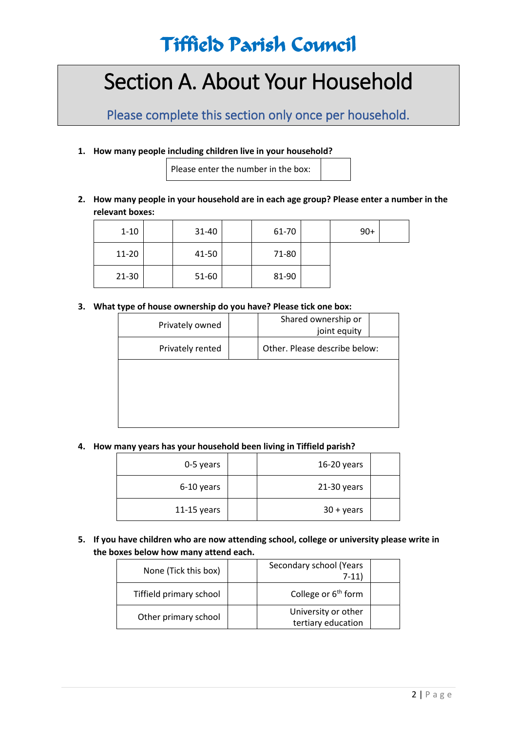# Section A. About Your Household

Please complete this section only once per household.

**1. How many people including children live in your household?**

Please enter the number in the box:

**2. How many people in your household are in each age group? Please enter a number in the relevant boxes:**

| $1 - 10$  | 31-40 | 61-70 | $90+$ |  |
|-----------|-------|-------|-------|--|
| 11-20     | 41-50 | 71-80 |       |  |
| $21 - 30$ | 51-60 | 81-90 |       |  |

**3. What type of house ownership do you have? Please tick one box:**

| Privately owned  | Shared ownership or<br>joint equity |  |
|------------------|-------------------------------------|--|
| Privately rented | Other. Please describe below:       |  |
|                  |                                     |  |
|                  |                                     |  |
|                  |                                     |  |

**4. How many years has your household been living in Tiffield parish?**

| 0-5 years     | 16-20 years        |  |
|---------------|--------------------|--|
| 6-10 years    | $21-30$ years      |  |
| $11-15$ years | $30 + \gamma$ ears |  |

**5. If you have children who are now attending school, college or university please write in the boxes below how many attend each.**

| None (Tick this box)    | Secondary school (Years<br>$7-11$         |
|-------------------------|-------------------------------------------|
| Tiffield primary school | College or 6 <sup>th</sup> form           |
| Other primary school    | University or other<br>tertiary education |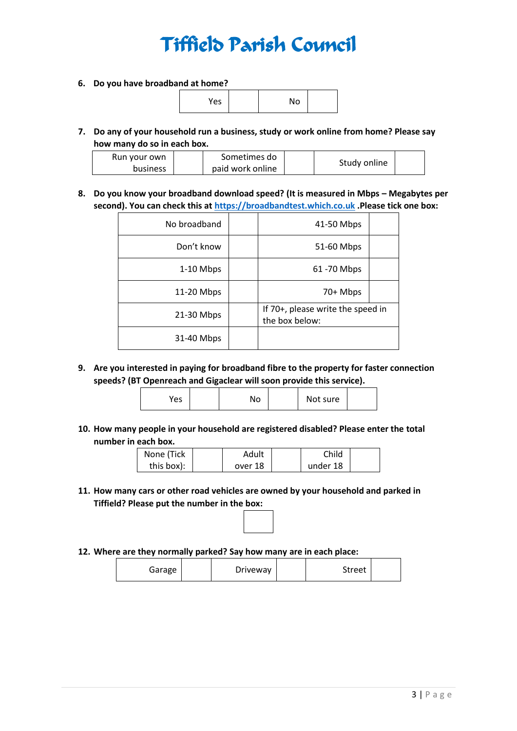**6. Do you have broadband at home?**

| Yes | No |  |
|-----|----|--|
|     |    |  |

**7. Do any of your household run a business, study or work online from home? Please say how many do so in each box.**

| Run your own    | Sometimes do     | Study online |  |  |
|-----------------|------------------|--------------|--|--|
| <b>business</b> | paid work online |              |  |  |

**8. Do you know your broadband download speed? (It is measured in Mbps – Megabytes per second). You can check this at [https://broadbandtest.which.co.uk](https://broadbandtest.which.co.uk/) .Please tick one box:**

| No broadband | 41-50 Mbps                                          |  |
|--------------|-----------------------------------------------------|--|
| Don't know   | 51-60 Mbps                                          |  |
| 1-10 Mbps    | 61 - 70 Mbps                                        |  |
| 11-20 Mbps   | 70+ Mbps                                            |  |
| 21-30 Mbps   | If 70+, please write the speed in<br>the box below: |  |
| 31-40 Mbps   |                                                     |  |

**9. Are you interested in paying for broadband fibre to the property for faster connection speeds? (BT Openreach and Gigaclear will soon provide this service).**

| Yes | No |  | Not sure |  |
|-----|----|--|----------|--|
|-----|----|--|----------|--|

**10. How many people in your household are registered disabled? Please enter the total number in each box.**

| None (Tick | Adult   | Child    |  |
|------------|---------|----------|--|
| this box): | over 18 | under 18 |  |

- **11. How many cars or other road vehicles are owned by your household and parked in Tiffield? Please put the number in the box:**
- **12. Where are they normally parked? Say how many are in each place:**

| Garage | Driveway | Street |
|--------|----------|--------|
|--------|----------|--------|